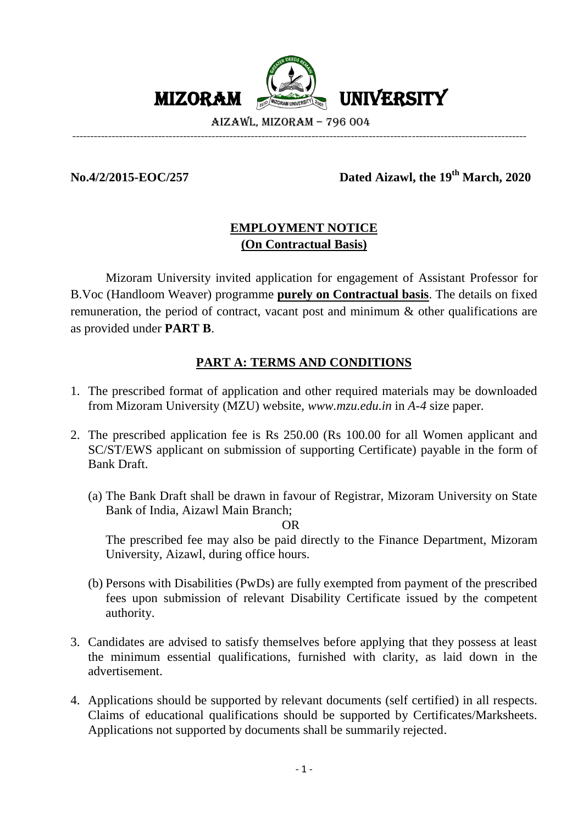

-------------------------------------------------------------------------------------------------------------------------------

# **No.4/2/2015-EOC/257 Dated Aizawl, the 19 th March, 2020**

# **EMPLOYMENT NOTICE (On Contractual Basis)**

Mizoram University invited application for engagement of Assistant Professor for B.Voc (Handloom Weaver) programme **purely on Contractual basis**. The details on fixed remuneration, the period of contract, vacant post and minimum & other qualifications are as provided under **PART B**.

# **PART A: TERMS AND CONDITIONS**

- 1. The prescribed format of application and other required materials may be downloaded from Mizoram University (MZU) website, *www.mzu.edu.in* in *A-4* size paper.
- 2. The prescribed application fee is Rs 250.00 (Rs 100.00 for all Women applicant and SC/ST/EWS applicant on submission of supporting Certificate) payable in the form of Bank Draft.
	- (a) The Bank Draft shall be drawn in favour of Registrar, Mizoram University on State Bank of India, Aizawl Main Branch;

OR

The prescribed fee may also be paid directly to the Finance Department, Mizoram University, Aizawl, during office hours.

- (b) Persons with Disabilities (PwDs) are fully exempted from payment of the prescribed fees upon submission of relevant Disability Certificate issued by the competent authority.
- 3. Candidates are advised to satisfy themselves before applying that they possess at least the minimum essential qualifications, furnished with clarity, as laid down in the advertisement.
- 4. Applications should be supported by relevant documents (self certified) in all respects. Claims of educational qualifications should be supported by Certificates/Marksheets. Applications not supported by documents shall be summarily rejected.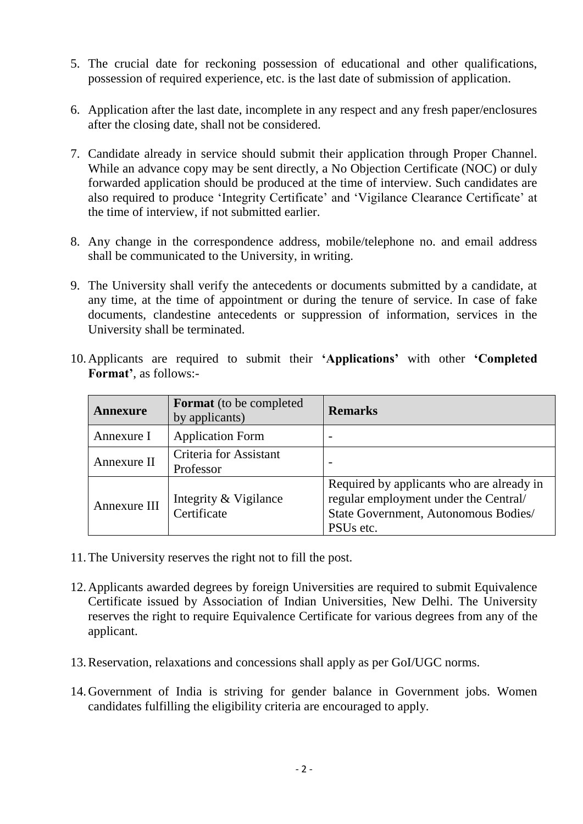- 5. The crucial date for reckoning possession of educational and other qualifications, possession of required experience, etc. is the last date of submission of application.
- 6. Application after the last date, incomplete in any respect and any fresh paper/enclosures after the closing date, shall not be considered.
- 7. Candidate already in service should submit their application through Proper Channel. While an advance copy may be sent directly, a No Objection Certificate (NOC) or duly forwarded application should be produced at the time of interview. Such candidates are also required to produce 'Integrity Certificate' and 'Vigilance Clearance Certificate' at the time of interview, if not submitted earlier.
- 8. Any change in the correspondence address, mobile/telephone no. and email address shall be communicated to the University, in writing.
- 9. The University shall verify the antecedents or documents submitted by a candidate, at any time, at the time of appointment or during the tenure of service. In case of fake documents, clandestine antecedents or suppression of information, services in the University shall be terminated.
- 10.Applicants are required to submit their **'Applications'** with other **'Completed Format'**, as follows:-

| <b>Annexure</b> | <b>Format</b> (to be completed<br>by applicants) | <b>Remarks</b>                                                                                                                                      |
|-----------------|--------------------------------------------------|-----------------------------------------------------------------------------------------------------------------------------------------------------|
| Annexure I      | <b>Application Form</b>                          | -                                                                                                                                                   |
| Annexure II     | Criteria for Assistant<br>Professor              | $\overline{\phantom{0}}$                                                                                                                            |
| Annexure III    | Integrity & Vigilance<br>Certificate             | Required by applicants who are already in<br>regular employment under the Central/<br>State Government, Autonomous Bodies/<br>PSU <sub>s</sub> etc. |

- 11.The University reserves the right not to fill the post.
- 12.Applicants awarded degrees by foreign Universities are required to submit Equivalence Certificate issued by Association of Indian Universities, New Delhi. The University reserves the right to require Equivalence Certificate for various degrees from any of the applicant.
- 13.Reservation, relaxations and concessions shall apply as per GoI/UGC norms.
- 14.Government of India is striving for gender balance in Government jobs. Women candidates fulfilling the eligibility criteria are encouraged to apply.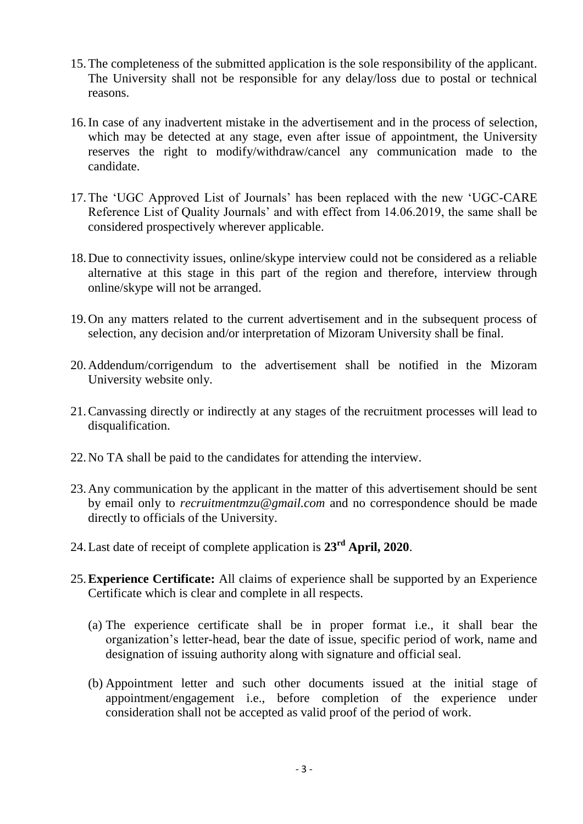- 15.The completeness of the submitted application is the sole responsibility of the applicant. The University shall not be responsible for any delay/loss due to postal or technical reasons.
- 16.In case of any inadvertent mistake in the advertisement and in the process of selection, which may be detected at any stage, even after issue of appointment, the University reserves the right to modify/withdraw/cancel any communication made to the candidate.
- 17.The 'UGC Approved List of Journals' has been replaced with the new 'UGC-CARE Reference List of Quality Journals' and with effect from 14.06.2019, the same shall be considered prospectively wherever applicable.
- 18.Due to connectivity issues, online/skype interview could not be considered as a reliable alternative at this stage in this part of the region and therefore, interview through online/skype will not be arranged.
- 19.On any matters related to the current advertisement and in the subsequent process of selection, any decision and/or interpretation of Mizoram University shall be final.
- 20.Addendum/corrigendum to the advertisement shall be notified in the Mizoram University website only.
- 21.Canvassing directly or indirectly at any stages of the recruitment processes will lead to disqualification.
- 22.No TA shall be paid to the candidates for attending the interview.
- 23.Any communication by the applicant in the matter of this advertisement should be sent by email only to *recruitmentmzu@gmail.com* and no correspondence should be made directly to officials of the University.
- 24.Last date of receipt of complete application is **23 rd April, 2020**.
- 25.**Experience Certificate:** All claims of experience shall be supported by an Experience Certificate which is clear and complete in all respects.
	- (a) The experience certificate shall be in proper format i.e., it shall bear the organization's letter-head, bear the date of issue, specific period of work, name and designation of issuing authority along with signature and official seal.
	- (b) Appointment letter and such other documents issued at the initial stage of appointment/engagement i.e., before completion of the experience under consideration shall not be accepted as valid proof of the period of work.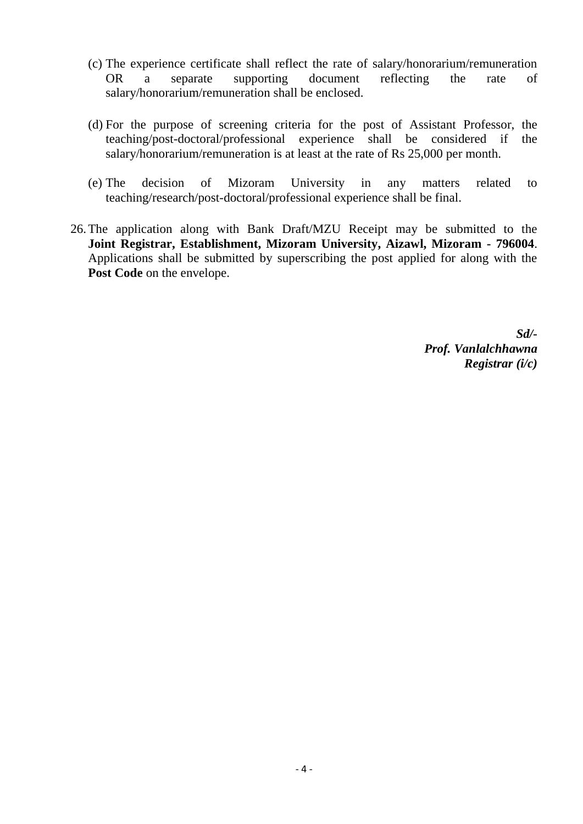- (c) The experience certificate shall reflect the rate of salary/honorarium/remuneration OR a separate supporting document reflecting the rate of salary/honorarium/remuneration shall be enclosed.
- (d) For the purpose of screening criteria for the post of Assistant Professor, the teaching/post-doctoral/professional experience shall be considered if the salary/honorarium/remuneration is at least at the rate of Rs 25,000 per month.
- (e) The decision of Mizoram University in any matters related to teaching/research/post-doctoral/professional experience shall be final.
- 26.The application along with Bank Draft/MZU Receipt may be submitted to the **Joint Registrar, Establishment, Mizoram University, Aizawl, Mizoram - 796004**. Applications shall be submitted by superscribing the post applied for along with the Post Code on the envelope.

*Sd/- Prof. Vanlalchhawna Registrar (i/c)*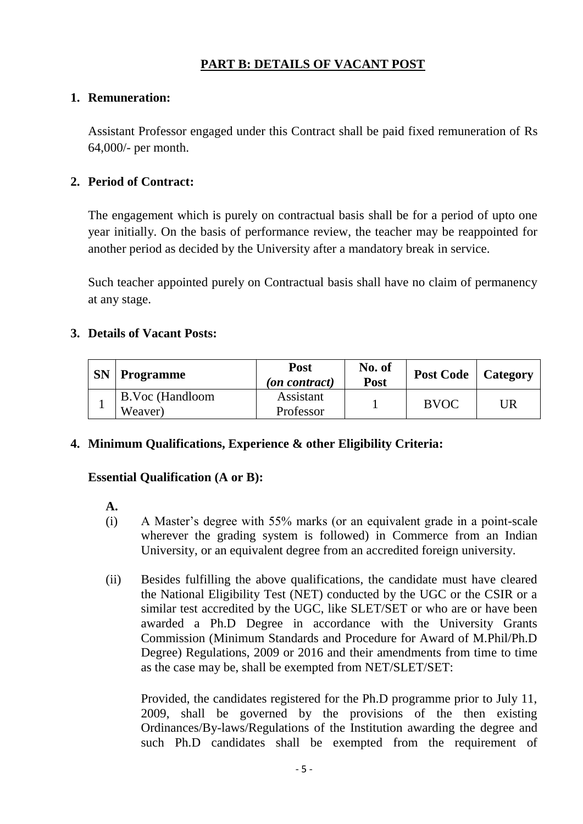# **PART B: DETAILS OF VACANT POST**

# **1. Remuneration:**

Assistant Professor engaged under this Contract shall be paid fixed remuneration of Rs 64,000/- per month.

# **2. Period of Contract:**

The engagement which is purely on contractual basis shall be for a period of upto one year initially. On the basis of performance review, the teacher may be reappointed for another period as decided by the University after a mandatory break in service.

Such teacher appointed purely on Contractual basis shall have no claim of permanency at any stage.

# **3. Details of Vacant Posts:**

| <b>SN</b> | <b>Programme</b>           | <b>Post</b><br>( <i>on contract</i> ) | No. of<br><b>Post</b> | <b>Post Code</b> | Category |
|-----------|----------------------------|---------------------------------------|-----------------------|------------------|----------|
|           | B.Voc (Handloom<br>Weaver) | Assistant<br>Professor                |                       | <b>BVOC</b>      | UR       |

# **4. Minimum Qualifications, Experience & other Eligibility Criteria:**

# **Essential Qualification (A or B):**

#### **A.**

- (i) A Master's degree with 55% marks (or an equivalent grade in a point-scale wherever the grading system is followed) in Commerce from an Indian University, or an equivalent degree from an accredited foreign university.
- (ii) Besides fulfilling the above qualifications, the candidate must have cleared the National Eligibility Test (NET) conducted by the UGC or the CSIR or a similar test accredited by the UGC, like SLET/SET or who are or have been awarded a Ph.D Degree in accordance with the University Grants Commission (Minimum Standards and Procedure for Award of M.Phil/Ph.D Degree) Regulations, 2009 or 2016 and their amendments from time to time as the case may be, shall be exempted from NET/SLET/SET:

Provided, the candidates registered for the Ph.D programme prior to July 11, 2009, shall be governed by the provisions of the then existing Ordinances/By-laws/Regulations of the Institution awarding the degree and such Ph.D candidates shall be exempted from the requirement of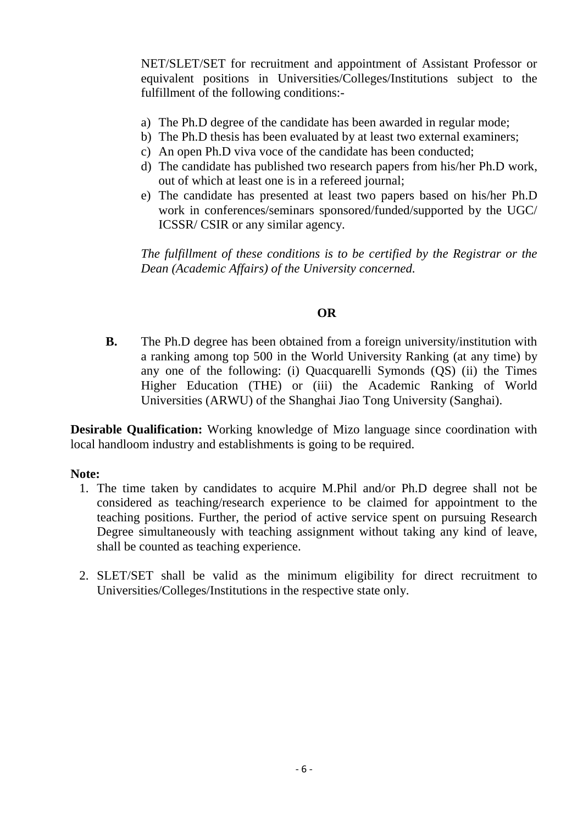NET/SLET/SET for recruitment and appointment of Assistant Professor or equivalent positions in Universities/Colleges/Institutions subject to the fulfillment of the following conditions:-

- a) The Ph.D degree of the candidate has been awarded in regular mode;
- b) The Ph.D thesis has been evaluated by at least two external examiners;
- c) An open Ph.D viva voce of the candidate has been conducted;
- d) The candidate has published two research papers from his/her Ph.D work, out of which at least one is in a refereed journal;
- e) The candidate has presented at least two papers based on his/her Ph.D work in conferences/seminars sponsored/funded/supported by the UGC/ ICSSR/ CSIR or any similar agency.

*The fulfillment of these conditions is to be certified by the Registrar or the Dean (Academic Affairs) of the University concerned.*

# **OR**

**B.** The Ph.D degree has been obtained from a foreign university/institution with a ranking among top 500 in the World University Ranking (at any time) by any one of the following: (i) Quacquarelli Symonds (QS) (ii) the Times Higher Education (THE) or (iii) the Academic Ranking of World Universities (ARWU) of the Shanghai Jiao Tong University (Sanghai).

**Desirable Qualification:** Working knowledge of Mizo language since coordination with local handloom industry and establishments is going to be required.

#### **Note:**

- 1. The time taken by candidates to acquire M.Phil and/or Ph.D degree shall not be considered as teaching/research experience to be claimed for appointment to the teaching positions. Further, the period of active service spent on pursuing Research Degree simultaneously with teaching assignment without taking any kind of leave, shall be counted as teaching experience.
- 2. SLET/SET shall be valid as the minimum eligibility for direct recruitment to Universities/Colleges/Institutions in the respective state only.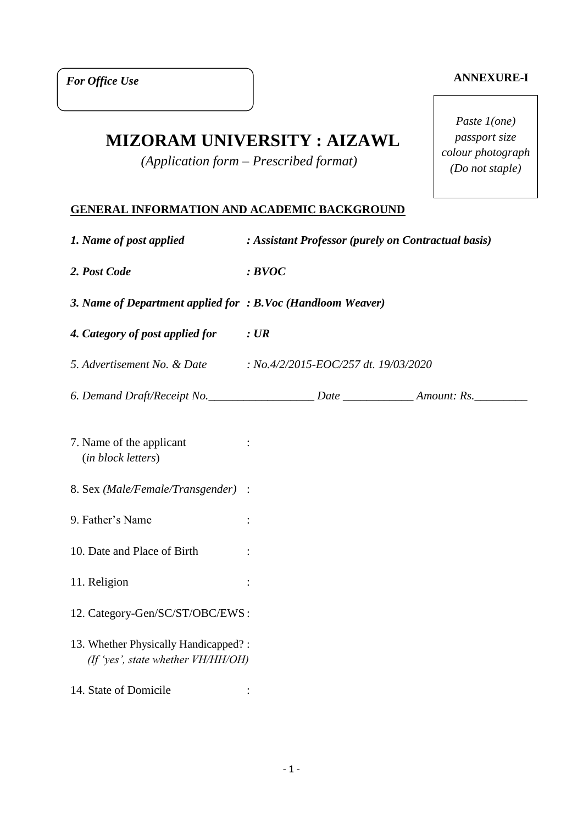#### **ANNEXURE-I**

*Paste 1(one) passport size colour photograph (Do not staple)*

# **MIZORAM UNIVERSITY : AIZAWL**

*(Application form – Prescribed format)*

#### **GENERAL INFORMATION AND ACADEMIC BACKGROUND**

| 1. Name of post applied                                                    | : Assistant Professor (purely on Contractual basis) |  |  |  |
|----------------------------------------------------------------------------|-----------------------------------------------------|--|--|--|
| 2. Post Code                                                               | BVOC                                                |  |  |  |
| 3. Name of Department applied for : B.Voc (Handloom Weaver)                |                                                     |  |  |  |
| 4. Category of post applied for : UR                                       |                                                     |  |  |  |
| 5. Advertisement No. & Date : No.4/2/2015-EOC/257 dt. 19/03/2020           |                                                     |  |  |  |
|                                                                            |                                                     |  |  |  |
| 7. Name of the applicant<br>(in block letters)                             |                                                     |  |  |  |
| 8. Sex (Male/Female/Transgender) :                                         |                                                     |  |  |  |
| 9. Father's Name                                                           | $\ddot{\cdot}$                                      |  |  |  |
| 10. Date and Place of Birth                                                |                                                     |  |  |  |
| 11. Religion                                                               |                                                     |  |  |  |
| 12. Category-Gen/SC/ST/OBC/EWS:                                            |                                                     |  |  |  |
| 13. Whether Physically Handicapped?:<br>(If 'yes', state whether VH/HH/OH) |                                                     |  |  |  |
| 14. State of Domicile                                                      |                                                     |  |  |  |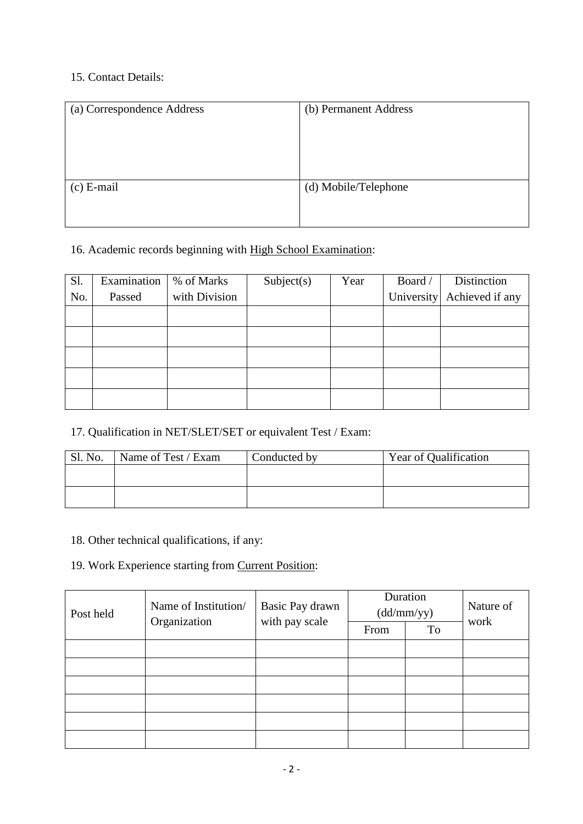### 15. Contact Details:

| (a) Correspondence Address | (b) Permanent Address |
|----------------------------|-----------------------|
|                            |                       |
|                            |                       |
|                            |                       |
|                            |                       |
| $(c)$ E-mail               | (d) Mobile/Telephone  |
|                            |                       |
|                            |                       |

# 16. Academic records beginning with High School Examination:

| Sl. | Examination | % of Marks    | Subject(s) | Year | Board / | Distinction                |
|-----|-------------|---------------|------------|------|---------|----------------------------|
| No. | Passed      | with Division |            |      |         | University Achieved if any |
|     |             |               |            |      |         |                            |
|     |             |               |            |      |         |                            |
|     |             |               |            |      |         |                            |
|     |             |               |            |      |         |                            |
|     |             |               |            |      |         |                            |

## 17. Qualification in NET/SLET/SET or equivalent Test / Exam:

| Sl. No. | Name of Test / Exam<br>Conducted by |  | <b>Year of Qualification</b> |
|---------|-------------------------------------|--|------------------------------|
|         |                                     |  |                              |
|         |                                     |  |                              |

#### 18. Other technical qualifications, if any:

# 19. Work Experience starting from Current Position:

| Post held | Name of Institution/ | Basic Pay drawn | Duration<br>(dd/mm/yy) | Nature of |      |
|-----------|----------------------|-----------------|------------------------|-----------|------|
|           | Organization         | with pay scale  | From                   | To        | work |
|           |                      |                 |                        |           |      |
|           |                      |                 |                        |           |      |
|           |                      |                 |                        |           |      |
|           |                      |                 |                        |           |      |
|           |                      |                 |                        |           |      |
|           |                      |                 |                        |           |      |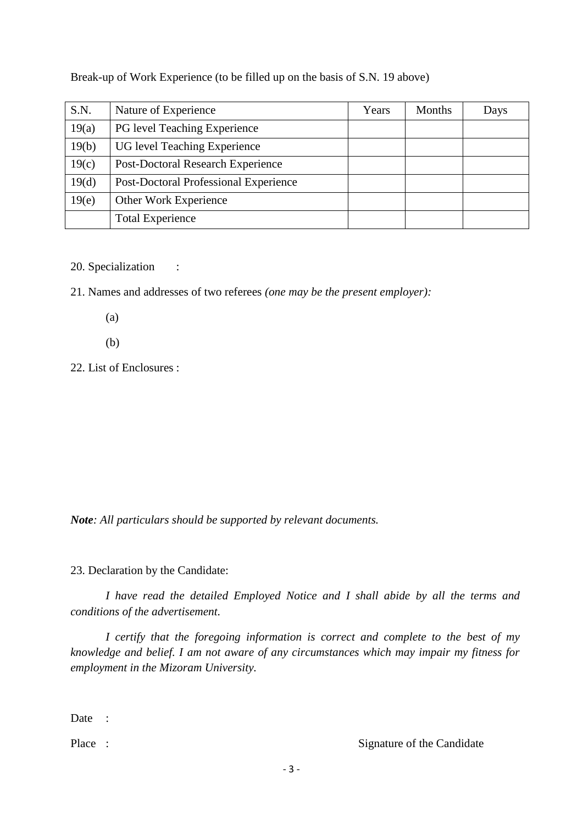Break-up of Work Experience (to be filled up on the basis of S.N. 19 above)

| S.N.  | Nature of Experience                     | Years | <b>Months</b> | Days |
|-------|------------------------------------------|-------|---------------|------|
| 19(a) | PG level Teaching Experience             |       |               |      |
| 19(b) | UG level Teaching Experience             |       |               |      |
| 19(c) | <b>Post-Doctoral Research Experience</b> |       |               |      |
| 19(d) | Post-Doctoral Professional Experience    |       |               |      |
| 19(e) | Other Work Experience                    |       |               |      |
|       | <b>Total Experience</b>                  |       |               |      |

20. Specialization :

21. Names and addresses of two referees *(one may be the present employer):*

(a)

(b)

22. List of Enclosures :

*Note: All particulars should be supported by relevant documents.*

23. Declaration by the Candidate:

*I have read the detailed Employed Notice and I shall abide by all the terms and conditions of the advertisement.*

*I certify that the foregoing information is correct and complete to the best of my knowledge and belief. I am not aware of any circumstances which may impair my fitness for employment in the Mizoram University.*

Date :

Place : Signature of the Candidate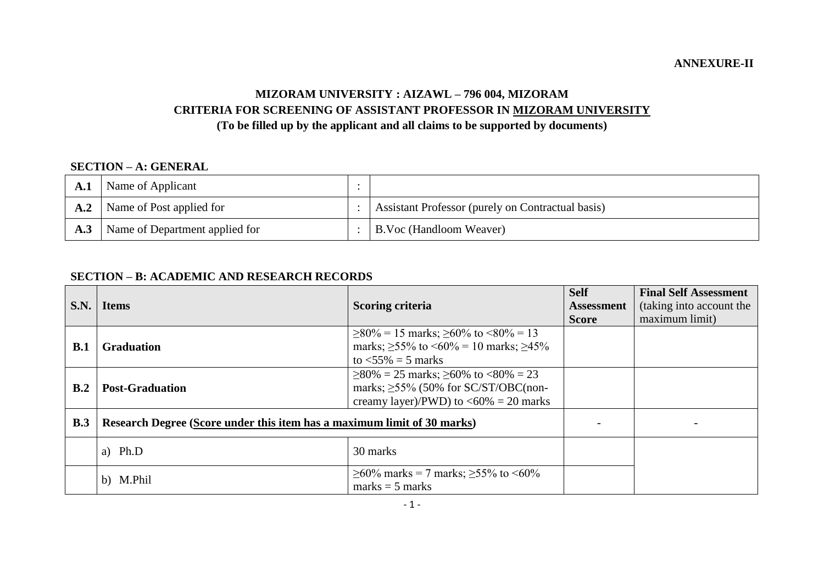#### **ANNEXURE-II**

#### **MIZORAM UNIVERSITY : AIZAWL – 796 004, MIZORAM CRITERIA FOR SCREENING OF ASSISTANT PROFESSOR IN MIZORAM UNIVERSITY (To be filled up by the applicant and all claims to be supported by documents)**

#### **SECTION – A: GENERAL**

| $\mathbf{A}.\mathbf{I}$ | Name of Applicant              |                                                   |
|-------------------------|--------------------------------|---------------------------------------------------|
| A.2                     | Name of Post applied for       | Assistant Professor (purely on Contractual basis) |
| A.3                     | Name of Department applied for | <b>B.Voc (Handloom Weaver)</b>                    |

#### **SECTION – B: ACADEMIC AND RESEARCH RECORDS**

| S.N. | <b>Items</b>                                                            | <b>Scoring criteria</b>                                                                                                                            | <b>Self</b><br><b>Assessment</b><br><b>Score</b> | <b>Final Self Assessment</b><br>(taking into account the<br>maximum limit) |
|------|-------------------------------------------------------------------------|----------------------------------------------------------------------------------------------------------------------------------------------------|--------------------------------------------------|----------------------------------------------------------------------------|
| B.1  | <b>Graduation</b>                                                       | $\geq$ 80% = 15 marks; $\geq$ 60% to <80% = 13<br>marks; $\geq 55\%$ to $\leq 60\% = 10$ marks; $\geq 45\%$<br>to $\langle 55\% \rangle = 5$ marks |                                                  |                                                                            |
| B.2  | <b>Post-Graduation</b>                                                  | $\geq$ 80% = 25 marks; $\geq$ 60% to <80% = 23<br>marks; $\geq$ 55% (50% for SC/ST/OBC(non-<br>creamy layer)/PWD) to $\langle 60\% = 20$ marks     |                                                  |                                                                            |
| B.3  | Research Degree (Score under this item has a maximum limit of 30 marks) |                                                                                                                                                    |                                                  |                                                                            |
|      | a) $Ph.D$                                                               | 30 marks                                                                                                                                           |                                                  |                                                                            |
|      | b) M.Phil                                                               | $\geq 60\%$ marks = 7 marks; $\geq 55\%$ to <60%<br>$marks = 5 marks$                                                                              |                                                  |                                                                            |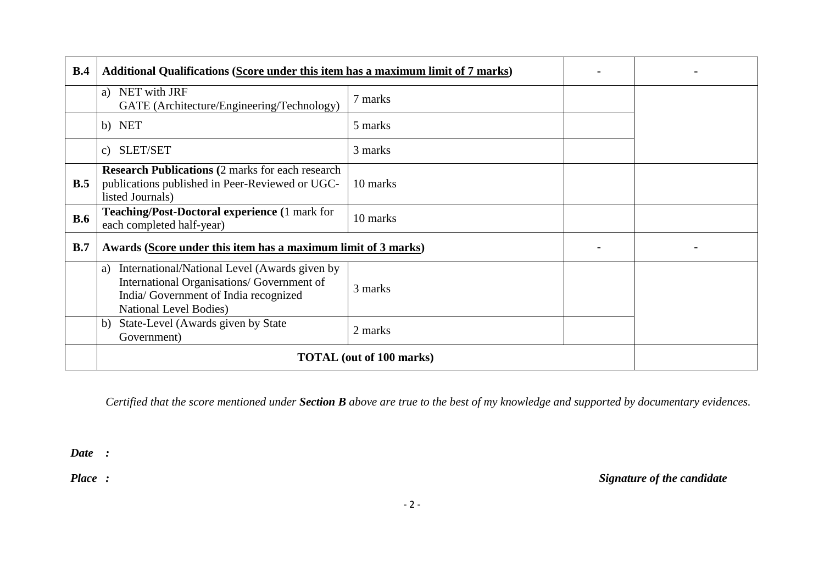| B.4        | Additional Qualifications (Score under this item has a maximum limit of 7 marks)                                                                                            |                                 |  |  |
|------------|-----------------------------------------------------------------------------------------------------------------------------------------------------------------------------|---------------------------------|--|--|
|            | a) NET with JRF<br>7 marks<br>GATE (Architecture/Engineering/Technology)                                                                                                    |                                 |  |  |
|            | b) NET                                                                                                                                                                      | 5 marks                         |  |  |
|            | c) SLET/SET                                                                                                                                                                 | 3 marks                         |  |  |
| B.5        | <b>Research Publications (2 marks for each research)</b><br>publications published in Peer-Reviewed or UGC-<br>10 marks<br>listed Journals)                                 |                                 |  |  |
| <b>B.6</b> | <b>Teaching/Post-Doctoral experience (1 mark for</b><br>each completed half-year)                                                                                           | 10 marks                        |  |  |
| B.7        | Awards (Score under this item has a maximum limit of 3 marks)                                                                                                               |                                 |  |  |
|            | International/National Level (Awards given by<br>a)<br>International Organisations/ Government of<br>India/Government of India recognized<br><b>National Level Bodies</b> ) |                                 |  |  |
|            | State-Level (Awards given by State<br>b)<br>Government)                                                                                                                     |                                 |  |  |
|            |                                                                                                                                                                             | <b>TOTAL</b> (out of 100 marks) |  |  |

*Certified that the score mentioned under Section B above are true to the best of my knowledge and supported by documentary evidences.*

*Date :*

*Place : Signature of the candidate*